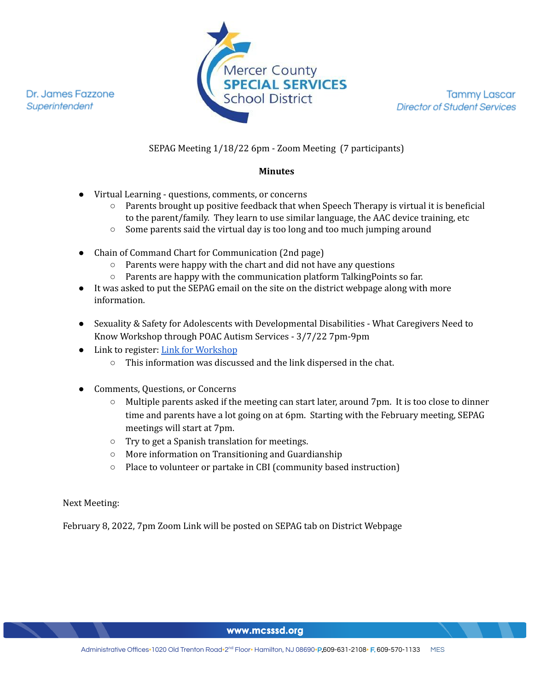Dr. James Fazzone Superintendent



**Tammy Lascar Director of Student Services** 

#### SEPAG Meeting 1/18/22 6pm - Zoom Meeting (7 participants)

#### **Minutes**

- Virtual Learning questions, comments, or concerns
	- Parents brought up positive feedback that when Speech Therapy is virtual it is beneficial to the parent/family. They learn to use similar language, the AAC device training, etc
	- Some parents said the virtual day is too long and too much jumping around
- Chain of Command Chart for Communication (2nd page)
	- Parents were happy with the chart and did not have any questions
	- Parents are happy with the communication platform TalkingPoints so far.
- It was asked to put the SEPAG email on the site on the district webpage along with more information.
- Sexuality & Safety for Adolescents with Developmental Disabilities What Caregivers Need to Know Workshop through POAC Autism Services - 3/7/22 7pm-9pm
- Link to register: Link for [Workshop](https://events.r20.constantcontact.com/register/eventReg?oeidk=a07eit0c86q524c2aee&oseq=&c=&ch=)
	- This information was discussed and the link dispersed in the chat.
- Comments, Questions, or Concerns
	- Multiple parents asked if the meeting can start later, around 7pm. It is too close to dinner time and parents have a lot going on at 6pm. Starting with the February meeting, SEPAG meetings will start at 7pm.
	- Try to get a Spanish translation for meetings.
	- More information on Transitioning and Guardianship
	- Place to volunteer or partake in CBI (community based instruction)

Next Meeting:

February 8, 2022, 7pm Zoom Link will be posted on SEPAG tab on District Webpage

www.mcsssd.org